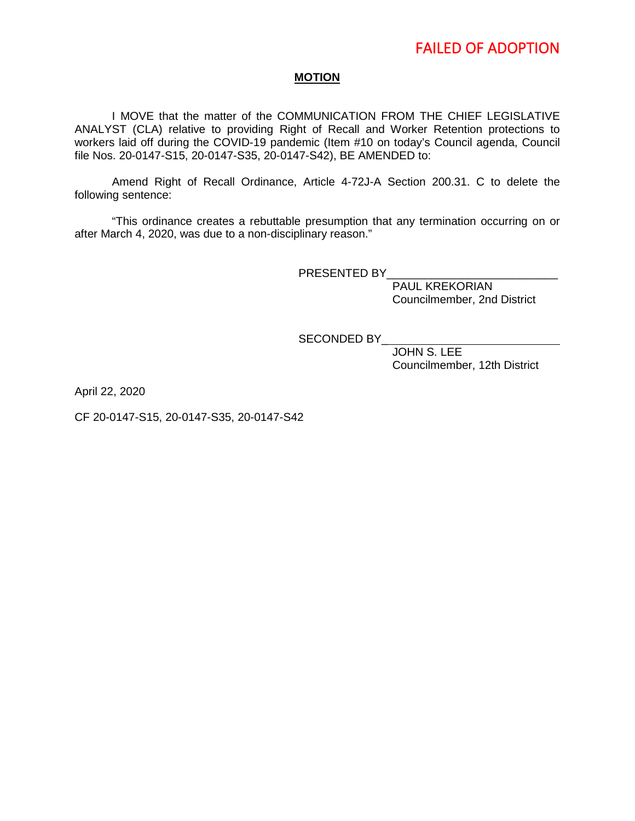### **MOTION**

I MOVE that the matter of the COMMUNICATION FROM THE CHIEF LEGISLATIVE ANALYST (CLA) relative to providing Right of Recall and Worker Retention protections to workers laid off during the COVID-19 pandemic (Item #10 on today's Council agenda, Council file Nos. 20-0147-S15, 20-0147-S35, 20-0147-S42), BE AMENDED to:

Amend Right of Recall Ordinance, Article 4-72J-A Section 200.31. C to delete the following sentence:

"This ordinance creates a rebuttable presumption that any termination occurring on or after March 4, 2020, was due to a non-disciplinary reason."

PRESENTED BY

 PAUL KREKORIAN Councilmember, 2nd District

SECONDED BY

 JOHN S. LEE Councilmember, 12th District

April 22, 2020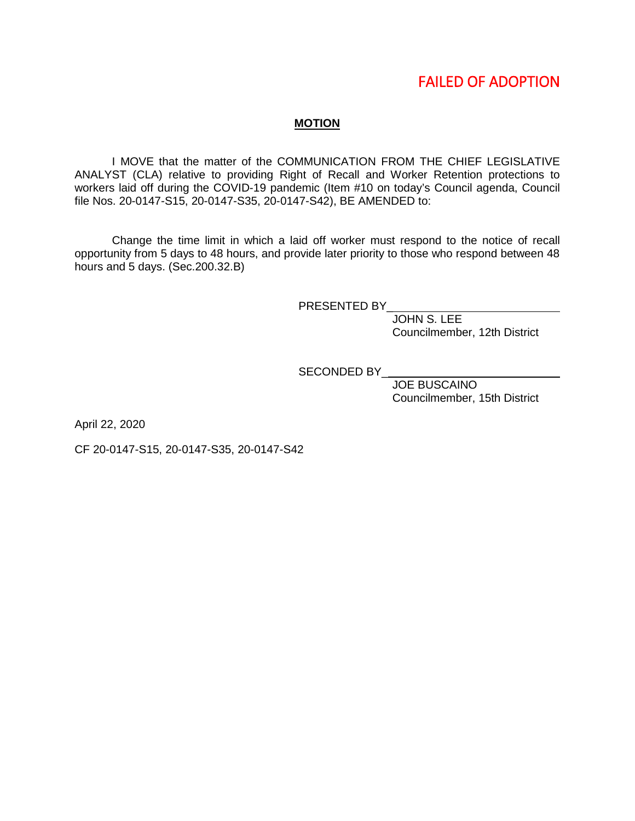## FAILED OF ADOPTION

### **MOTION**

I MOVE that the matter of the COMMUNICATION FROM THE CHIEF LEGISLATIVE ANALYST (CLA) relative to providing Right of Recall and Worker Retention protections to workers laid off during the COVID-19 pandemic (Item #10 on today's Council agenda, Council file Nos. 20-0147-S15, 20-0147-S35, 20-0147-S42), BE AMENDED to:

Change the time limit in which a laid off worker must respond to the notice of recall opportunity from 5 days to 48 hours, and provide later priority to those who respond between 48 hours and 5 days. (Sec.200.32.B)

PRESENTED BY\_

JOHN S. LEE Councilmember, 12th District

SECONDED BY

 JOE BUSCAINO Councilmember, 15th District

April 22, 2020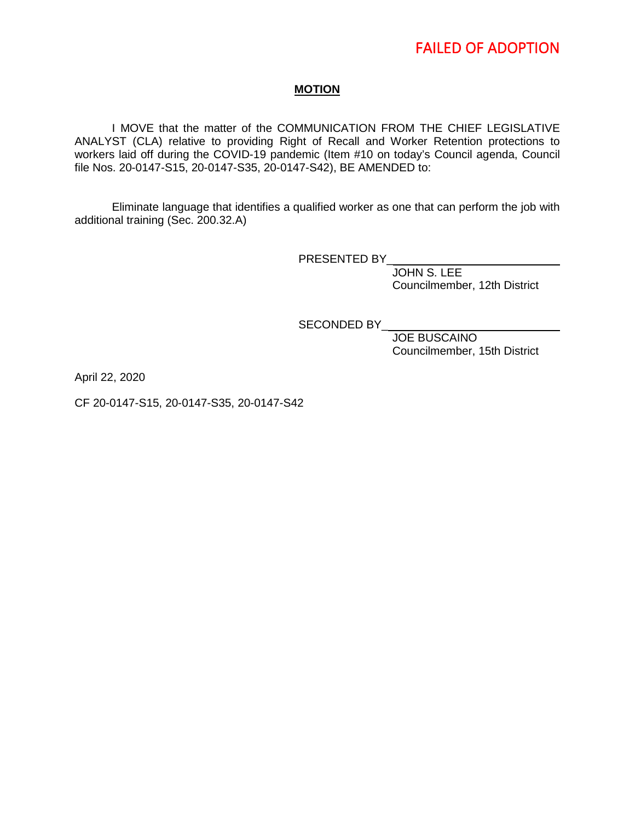## **MOTION**

I MOVE that the matter of the COMMUNICATION FROM THE CHIEF LEGISLATIVE ANALYST (CLA) relative to providing Right of Recall and Worker Retention protections to workers laid off during the COVID-19 pandemic (Item #10 on today's Council agenda, Council file Nos. 20-0147-S15, 20-0147-S35, 20-0147-S42), BE AMENDED to:

Eliminate language that identifies a qualified worker as one that can perform the job with additional training (Sec. 200.32.A)

PRESENTED BY\_

 JOHN S. LEE Councilmember, 12th District

SECONDED BY

 JOE BUSCAINO Councilmember, 15th District

April 22, 2020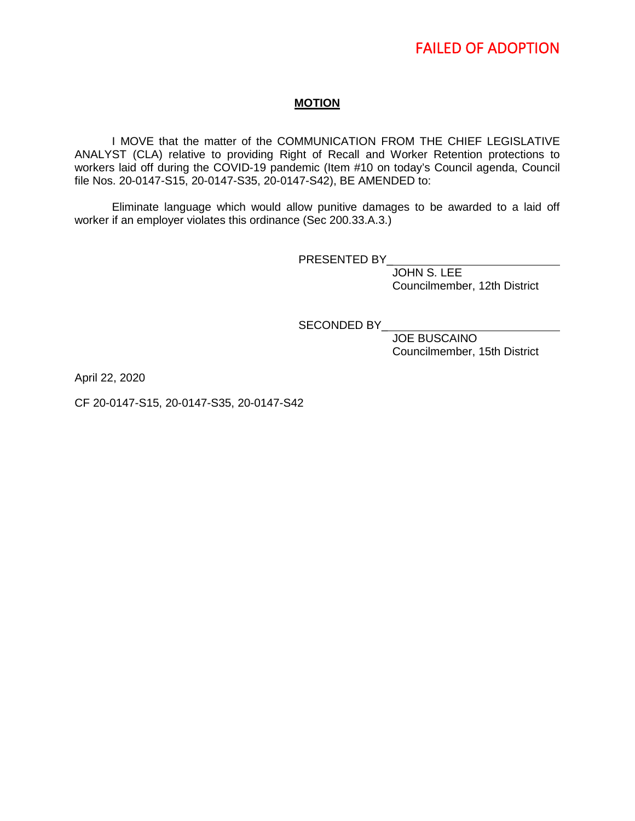# FAILED OF ADOPTION

## **MOTION**

I MOVE that the matter of the COMMUNICATION FROM THE CHIEF LEGISLATIVE ANALYST (CLA) relative to providing Right of Recall and Worker Retention protections to workers laid off during the COVID-19 pandemic (Item #10 on today's Council agenda, Council file Nos. 20-0147-S15, 20-0147-S35, 20-0147-S42), BE AMENDED to:

Eliminate language which would allow punitive damages to be awarded to a laid off worker if an employer violates this ordinance (Sec 200.33.A.3.)

PRESENTED BY

 JOHN S. LEE Councilmember, 12th District

SECONDED BY

 JOE BUSCAINO Councilmember, 15th District

April 22, 2020